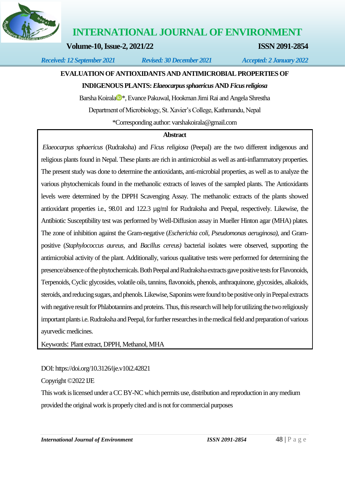

**INTERNATIONAL JOURNAL OF ENVIRONMENT**

**Volume-10, Issue-2, 2021/22 ISSN 2091-2854**

*Received: 12 September 2021 Revised: 30 December 2021 Accepted: 2 January 2022*

# **EVALUATION OF ANTIOXIDANTS AND ANTIMICROBIAL PROPERTIES OF**

#### **INDIGENOUS PLANTS:** *Elaeocarpus sphaericus* **AND** *Ficus religiosa*

B[a](https://orcid.org/0000-0001-8281-8671)rsha Koirala <sup>\*</sup>, Evance Pakuwal, Hookman Jimi Rai and Angela Shrestha Department of Microbiology, St. Xavier's College, Kathmandu, Nepal \*Corresponding author[: varshakoirala@gmail.com](mailto:varshakoirala@gmail.com)

#### **Abstract**

*Elaeocarpus sphaericus* (Rudraksha) and *Ficus religiosa* (Peepal) are the two different indigenous and religious plants found in Nepal. These plants are rich in antimicrobial as well as anti-inflammatory properties. The present study was done to determine the antioxidants, anti-microbial properties, as well as to analyze the various phytochemicals found in the methanolic extracts of leaves of the sampled plants. The Antioxidants levels were determined by the DPPH Scavenging Assay. The methanolic extracts of the plants showed antioxidant properties i.e., 98.01 and 122.3 µg/ml for Rudraksha and Peepal, respectively. Likewise, the Antibiotic Susceptibility test was performed by Well-Diffusion assay in Mueller Hinton agar (MHA) plates. The zone of inhibition against the Gram-negative (*Escherichia coli, Pseudomonas aeruginosa)*, and Grampositive (*Staphylococcus aureus,* and *Bacillus cereus)* bacterial isolates were observed, supporting the antimicrobial activity of the plant. Additionally, various qualitative tests were performed for determining the presence/absence of the phytochemicals. Both Peepal and Rudraksha extracts gave positive tests for Flavonoids, Terpenoids, Cyclic glycosides, volatile oils, tannins, flavonoids, phenols, anthraquinone, glycosides, alkaloids, steroids, and reducing sugars, and phenols. Likewise, Saponins were found to be positive only in Peepal extracts with negative result for Phlabotannins and proteins. Thus, this research will help for utilizing the two religiously important plants i.e. Rudraksha and Peepal, for further researches in the medical field and preparation of various ayurvedic medicines.

Keywords: Plant extract, DPPH, Methanol, MHA

DOI[: https://doi.org/10.3126/ije.v10i2.42821](https://doi.org/10.3126/ije.v10i2.42821)

Copyright ©2022 IJE

This work is licensed under a CC BY-NC which permits use, distribution and reproduction in any medium provided the original work is properly cited and is not for commercial purposes

*International Journal of Environment ISSN 2091-2854* 48 | P a g e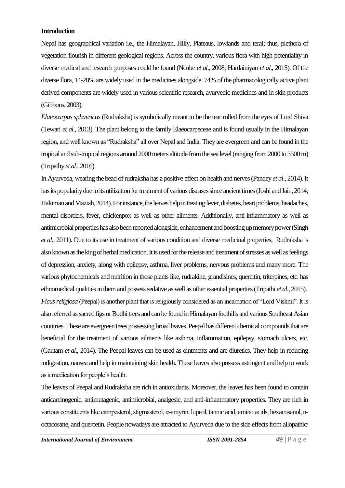#### **Introduction**

Nepal has geographical variation i.e., the Himalayan, Hilly, Plateaus, lowlands and terai; thus, plethora of vegetation flourish in different geological regions. Across the country, various flora with high potentiality in diverse medical and research purposes could be found (Ncube *et al*., 2008; Hardainiyan *et al*., 2015). Of the diverse flora, 14-28% are widely used in the medicines alongside, 74% of the pharmacologically active plant derived components are widely used in various scientific research, ayurvedic medicines and in skin products (Gibbons, 2003).

*Elaeocarpus sphaericus* (Rudraksha) is symbolically meant to be the tear rolled from the eyes of Lord Shiva (Tewari *et al*., 2013). The plant belong to the family Elaeocarpeceae and is found usually in the Himalayan region, and well known as "Rudraksha" all over Nepal and India. They are evergreen and can be found in the tropical and sub-tropical regions around 2000 meters altitude from the sea level (ranging from 2000 to 3500 m) (Tripathy *et al*., 2016).

In Ayurveda, wearing the bead of rudraksha has a positive effect on health and nerves (Pandey *et al*., 2014). It has its popularity due to its utilization for treatment of various diseases since ancient times (Joshi and Jain, 2014; Hakiman and Maziah, 2014). For instance, the leaves help in treating fever, diabetes, heart problems, headaches, mental disorders, fever, chickenpox as well as other ailments. Additionally, anti-inflammatory as well as antimicrobial properties has also been reported alongside, enhancement and boosting up memory power (Singh *et al*., 2011). Due to its use in treatment of various condition and diverse medicinal properties, Rudraksha is also known as the king of herbal medication. It is used for the release and treatment of stresses as well as feelings of depression, anxiety, along with epilepsy, asthma, liver problems, nervous problems and many more. The various phytochemicals and nutrition in those plants like, rudrakine, grandisines, quercitin, triterpines, etc. has ethnomedical qualities in them and possess sedative as well as other essential properties (Tripathi *et al*., 2015). *Ficus religiosa* (Peepal) is another plant that is religiously considered as an incarnation of "Lord Vishnu". It is also referred as sacred figs or Bodhi trees and can be found in Himalayan foothills and various Southeast Asian countries. These are evergreen trees possessing broad leaves. Peepal has different chemical compounds that are beneficial for the treatment of various ailments like asthma, inflammation, epilepsy, stomach ulcers, etc. (Gautam *et al*., 2014). The Peepal leaves can be used as ointments and are diuretics. They help in reducing indigestion, nausea and help in maintaining skin health. These leaves also possess astringent and help to work as a medication for people's health.

The leaves of Peepal and Rudraksha are rich in antioxidants. Moreover, the leaves has been found to contain anticarcinogenic, antimutagenic, antimicrobial, analgesic, and anti-inflammatory properties. They are rich in various constituents like campesterol, stigmasterol, α-amyrin, lupeol, tannic acid, amino acids, hexacosanol, noctacosane, and quercetin. People nowadays are attracted to Ayurveda due to the side effects from allopathic/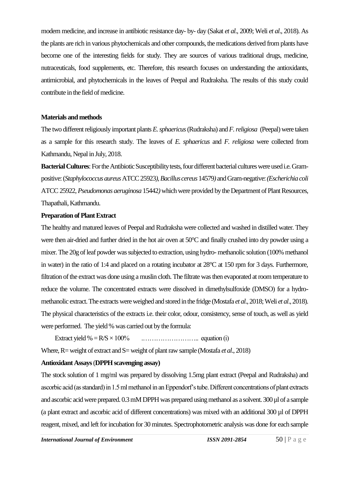modern medicine, and increase in antibiotic resistance day- by- day (Sakat *et al*., 2009; Weli *et al*., 2018). As the plants are rich in various phytochemicals and other compounds, the medications derived from plants have become one of the interesting fields for study. They are sources of various traditional drugs, medicine, nutraceuticals, food supplements, etc. Therefore, this research focuses on understanding the antioxidants, antimicrobial, and phytochemicals in the leaves of Peepal and Rudraksha. The results of this study could contribute in the field of medicine.

#### **Materials and methods**

The two different religiously important plants *E. sphaericus* (Rudraksha) and*F. religiosa* (Peepal) were taken as a sample for this research study. The leaves of *E. sphaericus* and *F. religiosa* were collected from Kathmandu, Nepal in July, 2018.

**Bacterial Cultures**: For the Antibiotic Susceptibility tests, four different bacterial cultures were used i.e. Grampositive: (*Staphylococcus aureus* ATCC 25923*), Bacillus cereus* 14579*)* and Gram-negative:*(Escherichia coli*  ATCC 25922*, Pseudomonas aeruginosa* 15442*)* whichwere provided by the Department of Plant Resources, Thapathali, Kathmandu.

#### **Preparation of Plant Extract**

The healthy and matured leaves of Peepal and Rudraksha were collected and washed in distilled water. They were then air-dried and further dried in the hot air oven at 50°C and finally crushed into dry powder using a mixer. The 20g of leaf powder was subjected to extraction, using hydro- methanolic solution (100% methanol in water) in the ratio of 1:4 and placed on a rotating incubator at 28°C at 150 rpm for 3 days. Furthermore, filtration of the extract was done using a muslin cloth. The filtrate was then evaporated at room temperature to reduce the volume. The concentrated extracts were dissolved in dimethylsulfoxide (DMSO) for a hydromethanolic extract. The extracts were weighed and stored in the fridge (Mostafa *et al*., 2018; Weli *et al*., 2018). The physical characteristics of the extracts i.e. their color, odour, consistency, sense of touch, as well as yield were performed. The yield % was carried out by the formula:

Extract yield % =R/S × 100% .…………………….. equation (i)

Where, R= weight of extract and S= weight of plant raw sample (Mostafa *et al.*, 2018)

## **Antioxidant Assays**(**DPPH scavenging assay)**

The stock solution of 1 mg/ml was prepared by dissolving 1.5mg plant extract (Peepal and Rudraksha) and ascorbic acid (as standard) in 1.5 ml methanol in an Eppendorf's tube. Different concentrations of plant extracts and ascorbic acid were prepared. 0.3 mM DPPH was prepared using methanol as a solvent. 300 µl of a sample (a plant extract and ascorbic acid of different concentrations) was mixed with an additional 300 µl of DPPH reagent, mixed, and left for incubation for 30 minutes. Spectrophotometric analysis was done for each sample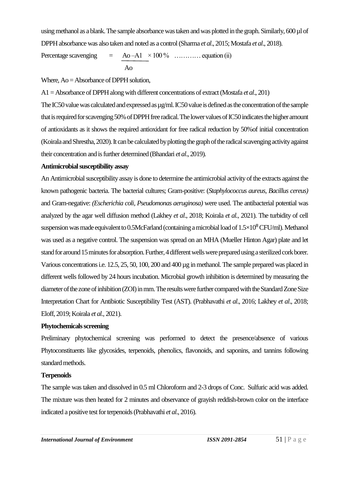using methanol as a blank. The sample absorbance was taken and was plotted in the graph. Similarly, 600 µl of DPPH absorbance was also taken and noted as a control (Sharma *et al*., 2015; Mostafa *et al*., 2018).

Percentage scavenging  $= A_0 - A_1 \times 100\%$  .............. equation (ii) Ao

Where, Ao = Absorbance of DPPH solution,

A1 = Absorbance of DPPH along with different concentrations of extract (Mostafa *et al*., 201)

The IC50 value was calculated and expressed as  $\mu$ g/ml. IC50 value is defined as the concentration of the sample that is required for scavenging 50% of DPPH free radical. The lower values of IC50 indicates the higher amount of antioxidants as it shows the required antioxidant for free radical reduction by 50%of initial concentration (Koirala and Shrestha, 2020). It can be calculated by plotting the graph of the radical scavenging activity against their concentration and is further determined (Bhandari *et al*., 2019).

#### **Antimicrobial susceptibility assay**

An Antimicrobial susceptibility assay is done to determine the antimicrobial activity of the extracts against the known pathogenic bacteria. The bacterial cultures; Gram-positive: (*Staphylococcus aureus, Bacillus cereus)* and Gram-negative: *(Escherichia coli, Pseudomonas aeruginosa)* were used. The antibacterial potential was analyzed by the agar well diffusion method (Lakhey *et al*., 2018; Koirala *et al.,* 2021). The turbidity of cell suspension was made equivalent to 0.5McFarland (containing a microbial load of  $1.5\times10^{8}$  CFU/ml). Methanol was used as a negative control. The suspension was spread on an MHA (Mueller Hinton Agar) plate and let stand for around 15 minutes for absorption. Further, 4 different wells were prepared using a sterilized cork borer. Various concentrations i.e. 12.5, 25, 50, 100, 200 and 400 µg in methanol. The sample prepared was placed in different wells followed by 24 hours incubation. Microbial growth inhibition is determined by measuring the diameter of the zone of inhibition (ZOI) in mm. The results were further compared with the Standard Zone Size Interpretation Chart for Antibiotic Susceptibility Test (AST). (Prabhavathi *et al*., 2016; Lakhey *et al*., 2018; Eloff, 2019; Koirala *et al.,* 2021).

## **Phytochemicals screening**

Preliminary phytochemical screening was performed to detect the presence/absence of various Phytoconstituents like glycosides, terpenoids, phenolics, flavonoids, and saponins, and tannins following standard methods.

## **Terpenoids**

The sample was taken and dissolved in 0.5 ml Chloroform and 2-3 drops of Conc. Sulfuric acid was added. The mixture was then heated for 2 minutes and observance of grayish reddish-brown color on the interface indicated a positive test for terpenoids (Prabhavathi *et al*., 2016).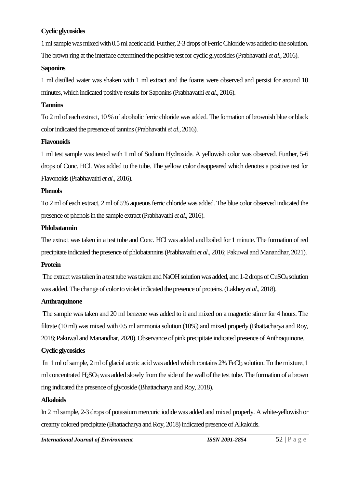## **Cyclic glycosides**

1 ml sample was mixed with 0.5 ml acetic acid. Further, 2-3 drops of Ferric Chloride was added to the solution. The brown ring at the interface determined the positive test for cyclic glycosides (Prabhavathi *et al*., 2016).

#### **Saponins**

1 ml distilled water was shaken with 1 ml extract and the foams were observed and persist for around 10 minutes, which indicated positive results for Saponins (Prabhavathi *et al*., 2016).

## **Tannins**

To 2 ml of each extract, 10 % of alcoholic ferric chloride was added. The formation of brownish blue or black color indicated the presence of tannins (Prabhavathi *et al*., 2016).

#### **Flavonoids**

1 ml test sample was tested with 1 ml of Sodium Hydroxide. A yellowish color was observed. Further, 5-6 drops of Conc. HCl. Was added to the tube. The yellow color disappeared which denotes a positive test for Flavonoids (Prabhavathi *et al*., 2016).

#### **Phenols**

To 2 ml of each extract, 2 ml of 5% aqueous ferric chloride was added. The blue color observed indicated the presence of phenols in the sample extract (Prabhavathi *et al*., 2016).

#### **Phlobatannin**

The extract was taken in a test tube and Conc. HCl was added and boiled for 1 minute. The formation of red precipitate indicated the presence of phlobatannins (Prabhavathi *et al*., 2016; Pakuwal and Manandhar, 2021).

## **Protein**

The extract was taken in a test tube was taken and NaOH solution was added, and 1-2 drops of CuSO<sub>4</sub> solution was added. The change of color to violet indicated the presence of proteins. (Lakhey *et al*., 2018).

## **Anthraquinone**

The sample was taken and 20 ml benzene was added to it and mixed on a magnetic stirrer for 4 hours. The filtrate (10 ml) was mixed with 0.5 ml ammonia solution (10%) and mixed properly (Bhattacharya and Roy, 2018; Pakuwal and Manandhar, 2020). Observance of pink precipitate indicated presence of Anthraquinone.

## **Cyclic glycosides**

In 1 ml of sample, 2 ml of glacial acetic acid was added which contains 2% FeCl3 solution. To the mixture, 1 ml concentrated H2SO<sup>4</sup> was added slowly from the side of the wall of the test tube. The formation of a brown ring indicated the presence of glycoside (Bhattacharya and Roy, 2018).

## **Alkaloids**

In 2 ml sample, 2-3 drops of potassium mercuric iodide was added and mixed properly. A white-yellowish or creamy colored precipitate (Bhattacharya and Roy, 2018) indicated presence of Alkaloids.

*International Journal of Environment ISSN 2091-2854* 52 | P a g e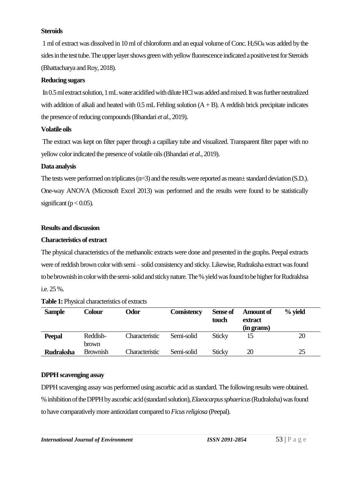#### **Steroids**

1 ml of extract was dissolved in 10 ml of chloroform and an equal volume of Conc. H2SO<sup>4</sup> was added by the sides in the test tube. The upper layer shows green with yellow fluorescence indicated a positive test for Steroids (Bhattacharya and Roy, 2018).

## **Reducing sugars**

In 0.5 ml extract solution, 1 mL water acidified with dilute HCl was added and mixed. It was further neutralized with addition of alkali and heated with  $0.5$  mL Fehling solution  $(A + B)$ . A reddish brick precipitate indicates the presence of reducing compounds (Bhandari *et al*., 2019).

## **Volatile oils**

The extract was kept on filter paper through a capillary tube and visualized. Transparent filter paper with no yellow color indicated the presence of volatile oils (Bhandari *et al*., 2019).

## **Data analysis**

The tests were performed on triplicates (n=3) and the results were reported as mean± standard deviation (S.D.). One-way ANOVA (Microsoft Excel 2013) was performed and the results were found to be statistically significant ( $p < 0.05$ ).

## **Results and discussion**

## **Characteristics of extract**

The physical characteristics of the methanolic extracts were done and presented in the graphs. Peepal extracts were of reddish brown color with semi – solid consistency and sticky. Likewise, Rudraksha extract was found to be brownish in color with the semi-solid and sticky nature. The % yield was found to be higher for Rudrakhsa i.e. 25 %.

| <b>Sample</b>    | <b>Colour</b>     | <b>Odor</b>    | <b>Consistency</b> | Sense of<br>touch | <b>Amount of</b><br>extract<br>(in grams) | $%$ yield |
|------------------|-------------------|----------------|--------------------|-------------------|-------------------------------------------|-----------|
| <b>Peepal</b>    | Reddish-<br>brown | Characteristic | Semi-solid         | <b>Sticky</b>     | 15                                        | 20        |
| <b>Rudraksha</b> | <b>Brownish</b>   | Characteristic | Semi-solid         | <b>Sticky</b>     | 20                                        | 25        |

## **Table 1:** Physical characteristics of extracts

## **DPPH scavenging assay**

DPPH scavenging assay was performed using ascorbic acid as standard. The following results were obtained. % inhibition of the DPPH by ascorbic acid (standard solution), *Elaeocarpus sphaericus* (Rudraksha) was found to have comparatively more antioxidant compared to*Ficus religiosa* (Peepal).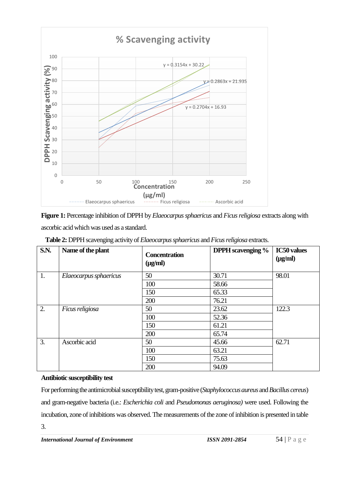

**Figure 1:** Percentage inhibition of DPPH by *Elaeocarpus sphaericus* and *Ficus religiosa* extracts along with ascorbic acid which was used as a standard.

| <b>S.N.</b> | Name of the plant      | <b>Concentration</b><br>$(\mu g/ml)$ | <b>DPPH</b> scavenging % | <b>IC50</b> values<br>$(\mu g/ml)$ |  |
|-------------|------------------------|--------------------------------------|--------------------------|------------------------------------|--|
| 1.          | Elaeocarpus sphaericus | 50                                   | 30.71                    | 98.01                              |  |
|             |                        | 100                                  | 58.66                    |                                    |  |
|             |                        | 150                                  | 65.33                    |                                    |  |
|             |                        | 200                                  | 76.21                    |                                    |  |
| 2.          | Ficus religiosa        | 50                                   | 23.62                    | 122.3                              |  |
|             |                        | 100                                  | 52.36                    |                                    |  |
|             |                        | 150                                  | 61.21                    |                                    |  |
|             |                        | 200                                  | 65.74                    |                                    |  |
| 3.          | Ascorbic acid          | 50                                   | 45.66                    | 62.71                              |  |
|             |                        | 100                                  | 63.21                    |                                    |  |
|             |                        | 150                                  | 75.63                    |                                    |  |
|             |                        | 200                                  | 94.09                    |                                    |  |

 **Table 2:** DPPH scavenging activity of *Elaeocarpus sphaericus* and*Ficus religiosa* extracts.

## **Antibiotic susceptibility test**

For performing the antimicrobial susceptibility test, gram-positive (*Staphylococcus aureus* and*Bacillus cereus*) and gram-negative bacteria (i.e.: *Escherichia coli* and *Pseudomonas aeruginosa)* were used. Following the incubation, zone of inhibitions was observed. The measurements of the zone of inhibition is presented in table 3.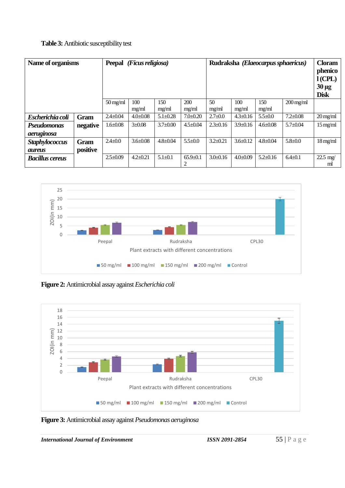## **Table 3:** Antibiotic susceptibility test

| Name of organisms      |             | <b>Peepal</b><br>(Ficus religiosa) |                |                | Rudraksha (Elaeocarpus sphaericus) |                |                | <b>Cloram</b><br>phenico<br>$l$ (CPL)<br>$30 \mu g$<br><b>Disk</b> |                        |                         |
|------------------------|-------------|------------------------------------|----------------|----------------|------------------------------------|----------------|----------------|--------------------------------------------------------------------|------------------------|-------------------------|
|                        |             | $50 \,\mathrm{mg/ml}$              | 100<br>mg/ml   | 150<br>mg/ml   | 200<br>mg/ml                       | 50<br>mg/ml    | 100<br>mg/ml   | 150<br>mg/ml                                                       | $200 \,\mathrm{mg/ml}$ |                         |
| Escherichia coli       | <b>Gram</b> | $2.4 + 0.04$                       | $4.0 \pm 0.08$ | $5.1 \pm 0.28$ | $7.0+0.20$                         | $2.7 \pm 0.0$  | $4.3 \pm 0.16$ | $5.5 \pm 0.0$                                                      | $7.2 \pm 0.08$         | $20 \,\mathrm{mg/ml}$   |
| <b>Pseudomonas</b>     | negative    | $1.6 \pm 0.08$                     | $3+0.08$       | $3.7 \pm 0.00$ | $4.5 \pm 0.04$                     | $2.3 + 0.16$   | $3.9 \pm 0.16$ | $4.6 \pm 0.08$                                                     | $5.7 \pm 0.04$         | $15$ mg/ml              |
| aeruginosa             |             |                                    |                |                |                                    |                |                |                                                                    |                        |                         |
| <b>Staphylococcus</b>  | <b>Gram</b> | $2.4 \pm 0.0$                      | $3.6 \pm 0.08$ | $4.8 \pm 0.04$ | $5.5 \pm 0.0$                      | $3.2 \pm 0.21$ | $3.6 \pm 0.12$ | $4.8 \pm 0.04$                                                     | $5.8 \pm 0.0$          | $18 \,\mathrm{mg/ml}$   |
| <i><b>aureus</b></i>   | positive    |                                    |                |                |                                    |                |                |                                                                    |                        |                         |
| <b>Bacillus cereus</b> |             | $2.5 \pm 0.09$                     | $4.2 + 0.21$   | $5.1 + 0.1$    | $65.9 \pm 0.1$<br>2                | $3.0 + 0.16$   | $4.0 \pm 0.09$ | $5.2 \pm 0.16$                                                     | $6.4 + 0.1$            | $22.5 \text{ mg}$<br>ml |



**Figure 2:** Antimicrobial assay against *Escherichia coli*



**Figure 3:** Antimicrobial assay against *Pseudomonas aeruginosa*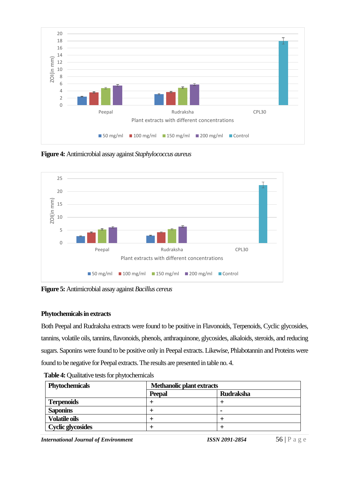

**Figure 4:** Antimicrobial assay against *Staphylococcus aureus*



**Figure 5:** Antimicrobial assay against *Bacillus cereus* 

## **Phytochemicals in extracts**

Both Peepal and Rudraksha extracts were found to be positive in Flavonoids, Terpenoids, Cyclic glycosides, tannins, volatile oils, tannins, flavonoids, phenols, anthraquinone, glycosides, alkaloids, steroids, and reducing sugars. Saponins were found to be positive only in Peepal extracts. Likewise, Phlabotannin and Proteins were found to be negative for Peepal extracts. The results are presented in table no. 4.

 **Table 4:** Qualitative tests for phytochemicals

| <b>Phytochemicals</b>    | <b>Methanolic plant extracts</b> |                          |  |
|--------------------------|----------------------------------|--------------------------|--|
|                          | <b>Peepal</b>                    | <b>Rudraksha</b>         |  |
| <b>Terpenoids</b>        |                                  |                          |  |
| <b>Saponins</b>          |                                  | $\overline{\phantom{a}}$ |  |
| <b>Volatile oils</b>     |                                  |                          |  |
| <b>Cyclic glycosides</b> |                                  |                          |  |

*International Journal of Environment ISSN 2091-2854* 56 | P a g e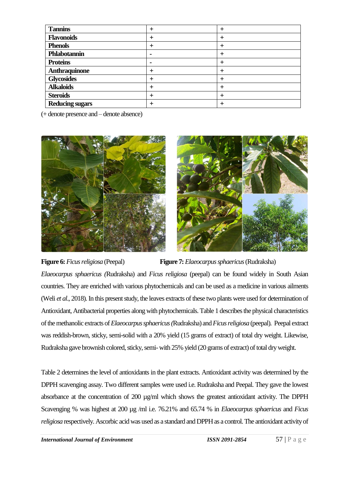| <b>Tannins</b>         |                |          |
|------------------------|----------------|----------|
| <b>Flavonoids</b>      | ┿              | $\pm$    |
| <b>Phenols</b>         |                | +        |
| Phlabotannin           |                |          |
| <b>Proteins</b>        | $\blacksquare$ | ᆠ        |
| <b>Anthraquinone</b>   | $\pm$          | $\,{}^+$ |
| <b>Glycosides</b>      | $\pm$          |          |
| <b>Alkaloids</b>       |                | ᆠ        |
| <b>Steroids</b>        |                | ᆠ        |
| <b>Reducing sugars</b> |                |          |

(+ denote presence and – denote absence)



**Figure 6:** *Ficus religiosa* (Peepal) **Figure 7:** *Elaeocarpus sphaericus*(Rudraksha) *Elaeocarpus sphaericus (*Rudraksha) and *Ficus religiosa* (peepal) can be found widely in South Asian countries. They are enriched with various phytochemicals and can be used as a medicine in various ailments (Weli *et al*., 2018). In this present study, the leaves extracts of these two plants were used for determination of Antioxidant, Antibacterial properties along with phytochemicals. Table 1 describes the physical characteristics of the methanolic extracts of *Elaeocarpus sphaericus (*Rudraksha) and *Ficus religiosa* (peepal). Peepal extract was reddish-brown, sticky, semi-solid with a 20% yield (15 grams of extract) of total dry weight. Likewise, Rudraksha gave brownish colored, sticky, semi-with 25% yield (20 grams of extract) of total dry weight.

Table 2 determines the level of antioxidants in the plant extracts. Antioxidant activity was determined by the DPPH scavenging assay. Two different samples were used i.e. Rudraksha and Peepal. They gave the lowest absorbance at the concentration of 200 µg/ml which shows the greatest antioxidant activity. The DPPH Scavenging % was highest at 200 µg /ml i.e. 76.21% and 65.74 % in *Elaeocarpus sphaericus* and *Ficus religiosa* respectively. Ascorbic acid was used as a standard and DPPH as a control. The antioxidant activity of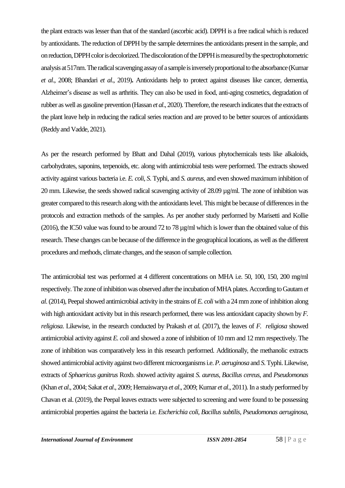the plant extracts was lesser than that of the standard (ascorbic acid). DPPH is a free radical which is reduced by antioxidants. The reduction of DPPH by the sample determines the antioxidants present in the sample, and on reduction, DPPH color is decolorized. The discoloration of the DPPH is measured by the spectrophotometric analysis at 517nm. The radical scavenging assay of a sample is inversely proportional to the absorbance (Kumar *et al*., 2008; Bhandari *et al*., 2019)**.** Antioxidants help to protect against diseases like cancer, dementia, Alzheimer's disease as well as arthritis. They can also be used in food, anti-aging cosmetics, degradation of rubber as well as gasoline prevention (Hassan *et al*., 2020). Therefore, the research indicates that the extracts of the plant leave help in reducing the radical series reaction and are proved to be better sources of antioxidants (Reddy and Vadde, 2021).

As per the research performed by Bhatt and Dahal (2019), various phytochemicals tests like alkaloids, carbohydrates, saponins, terpenoids, etc. along with antimicrobial tests were performed. The extracts showed activity against various bacteria i.e. *E. coli*, *S*. Typhi, and *S. aureus,* and even showed maximum inhibition of 20 mm. Likewise, the seeds showed radical scavenging activity of 28.09 µg/ml. The zone of inhibition was greater compared to this research along with the antioxidants level. This might be because of differences in the protocols and extraction methods of the samples. As per another study performed by Marisetti and Kollie (2016), the IC50 value was found to be around 72 to 78 µg/ml which is lower than the obtained value of this research. These changes can be because of the difference in the geographical locations, as well as the different procedures and methods, climate changes, and the season of sample collection.

The antimicrobial test was performed at 4 different concentrations on MHA i.e. 50, 100, 150, 200 mg/ml respectively. The zone of inhibition was observed after the incubation of MHA plates. According to Gautam *et al*.(2014), Peepal showed antimicrobial activity in the strains of *E. coli* with a 24 mm zone of inhibition along with high antioxidant activity but in this research performed, there was less antioxidant capacity shown by *F. religiosa*. Likewise, in the research conducted by Prakash *et al.* (2017), the leaves of *F. religiosa* showed antimicrobial activity against *E. coli* and showed a zone of inhibition of 10 mm and 12 mm respectively. The zone of inhibition was comparatively less in this research performed. Additionally, the methanolic extracts showed antimicrobial activity against two different microorganisms i.e. *P. aeruginosa* and *S*. Typhi. Likewise, extracts of *Sphaericus ganitrus* Roxb. showed activity against *S. aureus, Bacillus cereus,* and *Pseudomonas* (Khan *et al*., 2004; Sakat *et al*., 2009; Hemaiswarya *et al*., 2009; Kumar *et al*., 2011). In a study performed by Chavan et al. (2019), the Peepal leaves extracts were subjected to screening and were found to be possessing antimicrobial properties against the bacteria i.e. *Escherichia coli*, *Bacillus subtilis*, *Pseudomonas aeruginosa,*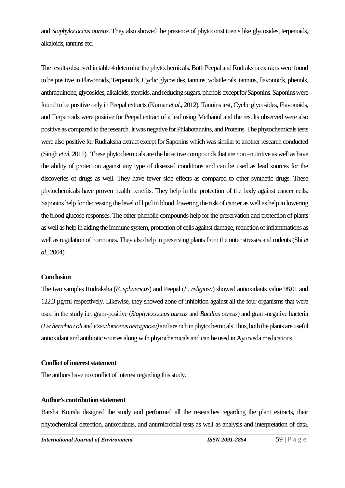and *Staphylococcus aureus*. They also showed the presence of phytoconstituents like glycosides, terpenoids, alkaloids, tannins etc.

The results observed in table 4 determine the phytochemicals. Both Peepal and Rudraksha extracts were found to be positive in Flavonoids, Terpenoids, Cyclic glycosides, tannins, volatile oils, tannins, flavonoids, phenols, anthraquinone, glycosides, alkaloids, steroids, and reducing sugars. phenols except for Saponins. Saponins were found to be positive only in Peepal extracts (Kumar *et al*., 2012). Tannins test, Cyclic glycosides, Flavonoids, and Terpenoids were positive for Peepal extract of a leaf using Methanol and the results observed were also positive as compared to the research. It was negative for Phlabotannins, and Proteins. The phytochemicals tests were also positive for Rudraksha extract except for Saponins which was similar to another research conducted (Singh *et al*, 2011). These phytochemicals are the bioactive compounds that are non –nutritive as well as have the ability of protection against any type of diseased conditions and can be used as lead sources for the discoveries of drugs as well. They have fewer side effects as compared to other synthetic drugs. These phytochemicals have proven health benefits. They help in the protection of the body against cancer cells. Saponins help for decreasing the level of lipid in blood, lowering the risk of cancer as well as help in lowering the blood glucose responses. The other phenolic compounds help for the preservation and protection of plants as well as help in aiding the immune system, protection of cells against damage, reduction of inflammations as well as regulation of hormones. They also help in preserving plants from the outer stresses and rodents (Shi *et al.,* 2004).

#### **Conclusion**

The two samples Rudraksha (*E. sphaericus*) and Peepal (*F. religiosa*) showed antioxidants value 98.01 and 122.3 µg/ml respectively. Likewise, they showed zone of inhibition against all the four organisms that were used in the study i.e. gram-positive (*Staphylococcus aureus* and *Bacillus cereus*) and gram-negative bacteria (*Escherichia coli* and *Pseudomonas aeruginosa*) and are rich in phytochemicals Thus, both the plants are useful antioxidant and antibiotic sources along with phytochemicals and can be used in Ayurveda medications.

#### **Conflict of interest statement**

The authors have no conflict of interest regarding this study.

#### **Author's contribution statement**

Barsha Koirala designed the study and performed all the researches regarding the plant extracts, their phytochemical detection, antioxidants, and antimicrobial tests as well as analysis and interpretation of data.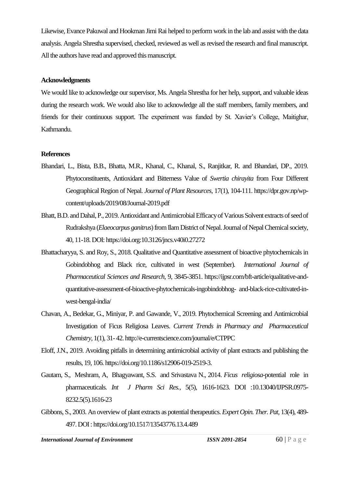Likewise, Evance Pakuwal and Hookman Jimi Rai helped to perform work in the lab and assist with the data analysis. Angela Shrestha supervised, checked, reviewed as well as revised the research and final manuscript. All the authors have read and approved this manuscript.

#### **Acknowledgments**

We would like to acknowledge our supervisor, Ms. Angela Shrestha for her help, support, and valuable ideas during the research work. We would also like to acknowledge all the staff members, family members, and friends for their continuous support. The experiment was funded by St. Xavier's College, Maitighar, Kathmandu.

#### **References**

- Bhandari, L., Bista, B.B., Bhatta, M.R., Khanal, C., Khanal, S., Ranjitkar, R. and Bhandari, DP., 2019. Phytoconstituents, Antioxidant and Bitterness Value of *Swertia chirayita* from Four Different Geographical Region of Nepal. *Journal of Plant Resources*, 17(1), 104-111[. https://dpr.gov.np/wp](https://dpr.gov.np/wp-content/uploads/2019/08/Journal-2019.pdf)[content/uploads/2019/08/Journal-2019.pdf](https://dpr.gov.np/wp-content/uploads/2019/08/Journal-2019.pdf)
- Bhatt, B.D. and Dahal, P., 2019. Antioxidant and Antimicrobial Efficacy of Various Solvent extracts of seed of Rudrakshya (*Elaeocarpus ganitrus*) from Ilam District of Nepal. Journal of Nepal Chemical society, 40, 11-18. DOI: https://doi.org:10.3126/jncs.v40i0.27272
- Bhattacharyya, S. and Roy, S., 2018. Qualitative and Quantitative assessment of bioactive phytochemicals in Gobindobhog and Black rice, cultivated in west (September). *International Journal of Pharmaceutical Sciences and Research,* 9, 3845-3851. [https://ijpsr.com/bft-article/qualitative-and](https://ijpsr.com/bft-article/qualitative-and-quantitative-assessment-of-bioactive-phytochemicals-ingobindobhog-%20and-black-rice-cultivated-in-west-bengal-india/)[quantitative-assessment-of-bioactive-phytochemicals-ingobindobhog-](https://ijpsr.com/bft-article/qualitative-and-quantitative-assessment-of-bioactive-phytochemicals-ingobindobhog-%20and-black-rice-cultivated-in-west-bengal-india/) and-black-rice-cultivated-in[west-bengal-india/](https://ijpsr.com/bft-article/qualitative-and-quantitative-assessment-of-bioactive-phytochemicals-ingobindobhog-%20and-black-rice-cultivated-in-west-bengal-india/)
- Chavan, A., Bedekar, G., Miniyar, P. and Gawande, V., 2019. Phytochemical Screening and Antimicrobial Investigation of Ficus Religiosa Leaves. *Current Trends in Pharmacy and Pharmaceutical Chemistry,* 1(1), 31- 42. http://e-currentscience.com/journal/e/CTPPC
- Eloff, J.N., 2019. Avoiding pitfalls in determining antimicrobial activity of plant extracts and publishing the results, 19, 106[. https://doi.org/10.1186/s12906-019-2519-3.](https://doi.org/10.1186/s12906-019-2519-3)
- Gautam, S., Meshram, A, Bhagyawant, S.S. and Srivastava N., 2014. *Ficus religiosa*-potential role in pharmaceuticals. *Int J Pharm Sci Res.,* 5(5), 1616-1623. DOI [:10.13040/IJPSR.0975-](http://dx.doi.org/10.13040/IJPSR.0975-8232.5(5).1616-23) [8232.5\(5\).1616-23](http://dx.doi.org/10.13040/IJPSR.0975-8232.5(5).1616-23)
- Gibbons, S., 2003. An overview of plant extracts as potential therapeutics. *Expert Opin. Ther. Pat,* 13(4), 489- 497. DOI [: https://doi.org/10.1517/13543776.13.4.489](https://doi.org/10.1517/13543776.13.4.489)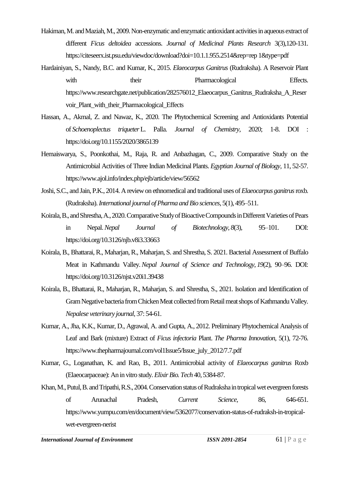- Hakiman, M. and Maziah, M., 2009. Non-enzymatic and enzymatic antioxidant activities in aqueous extract of different *Ficus deltoidea* accessions. *Journal of Medicinal Plants Research* 3(3),120-131. <https://citeseerx.ist.psu.edu/viewdoc/download?doi=10.1.1.955.2514&rep=rep> 1&type=pdf
- Hardainiyan, S., Nandy, B.C. and Kumar, K., 2015. *Elaeocarpus Ganitrus* (Rudraksha). A Reservoir Plant with their **Pharmacological** Effects. [https://www.researchgate.net/publication/282576012\\_Elaeocarpus\\_Ganitrus\\_Rudraksha\\_A\\_Reser](https://www.researchgate.net/publication/282576012_Elaeocarpus_Ganitrus_Rudraksha_A_Reservoir_Plant_with_their_Pharmacological_Effects) voir Plant with their Pharmacological Effects
- Hassan, A., Akmal, Z. and Nawaz, K., 2020. The Phytochemical Screening and Antioxidants Potential of *Schoenoplectus triqueter* L. Palla. *Journal of Chemistry*, 2020; 1-8. DOI : <https://doi.org/10.1155/2020/3865139>
- Hemaiswarya, S., Poonkothai, M., Raja, R. and Anbazhagan, C., 2009. Comparative Study on the Antimicrobial Activities of Three Indian Medicinal Plants. *Egyptian Journal of Biology,* 11, 52-57. https://www.ajol.info/index.php/ejb/article/view/56562
- Joshi, S.C., and Jain, P.K., 2014. A review on ethnomedical and traditional uses of *Elaeocarpus ganitrus*roxb. (Rudraksha). *International journal of Pharma and Bio sciences*, 5(1), 495–511.
- Koirala, B., and Shrestha, A., 2020. Comparative Study of Bioactive Compounds in Different Varieties of Pears in Nepal.*Nepal Journal of Biotechnology*, *8*(3), 95–101. DOI: <https://doi.org/10.3126/njb.v8i3.33663>
- Koirala, B., Bhattarai, R., Maharjan, R., Maharjan, S. and Shrestha, S. 2021. Bacterial Assessment of Buffalo Meat in Kathmandu Valley.*Nepal Journal of Science and Technology*, *19*(2), 90–96. DOI: <https://doi.org/10.3126/njst.v20i1.39438>
- Koirala, B., Bhattarai, R., Maharjan, R., Maharjan, S. and Shrestha, S., 2021. Isolation and Identification of Gram Negative bacteria from Chicken Meat collected from Retail meat shops of Kathmandu Valley. *Nepalese veterinary journal*, 37: 54-61.
- Kumar, A., Jha, K.K., Kumar, D., Agrawal, A. and Gupta, A., 2012. Preliminary Phytochemical Analysis of Leaf and Bark (mixture) Extract of *Ficus infectoria* Plant. *The Pharma Innovation*, 5(1), 72-76. https://www.thepharmajournal.com/vol1Issue5/Issue\_july\_2012/7.7.pdf
- Kumar, G., Loganathan, K. and Rao, B., 2011. Antimicrobial activity of *Elaeocarpus ganitrus* Roxb (Elaeocarpaceae): An in vitro study. *Elixir Bio. Tech* 40, 5384-87.
- Khan, M., Putul, B. and Tripathi, R.S., 2004. Conservation status of Rudraksha in tropical wet evergreen forests of Arunachal Pradesh, *Current Science,* 86, 646-651. https://www.yumpu.com/en/document/view/5362077/conservation-status-of-rudraksh-in-tropicalwet-evergreen-nerist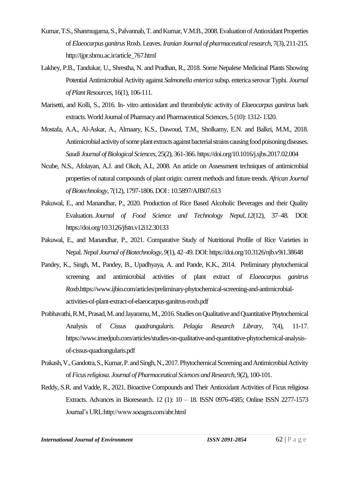- Kumar, T.S., Shanmugama, S., Palvannab, T. and Kumar, V.M.B., 2008. Evaluation of Antioxidant Properties of *Elaeocarpus ganitrus*Roxb. Leaves. *Iranian Journal of pharmaceutical research,* 7(3), 211-215. http://ijpr.sbmu.ac.ir/article\_767.html
- Lakhey, P.B., Tandukar, U., Shrestha, N. and Pradhan, R., 2018. Some Nepalese Medicinal Plants Showing Potential Antimicrobial Activity against *Salmonella enterica* subsp. enterica serovar Typhi. *Journal of Plant Resources*, 16(1), 106-111.
- Marisetti, and Kolli, S., 2016. In- vitro antioxidant and thrombolytic activity of *Elaeocarpus ganitrus* bark extracts. World Journal of Pharmacy and Pharmaceutical Sciences, 5 (10): 1312- 1320.
- Mostafa, A.A., Al-Askar, A., Almaary, K.S., Dawoud, T.M., Sholkamy, E.N. and Balkri, M.M., 2018. Antimicrobial activity of some plant extracts against bacterial strains causing food poisoning diseases. *Saudi Journal of Biological Sciences*, 25(2), 361-366[. https://doi.org/10.1016/j.sjbs.2017.02.004](https://doi.org/10.1016/j.sjbs.2017.02.004)
- Ncube, N.S., Afolayan, A.J. and Okoh, A.I., 2008. An article on Assessment techniques of antimicrobial properties of natural compounds of plant origin: current methods and future trends. *African Journal of Biotechnology*, 7(12), 1797-1806. DOI : 10.5897/AJB07.613
- Pakuwal, E., and Manandhar, P., 2020. Production of Rice Based Alcoholic Beverages and their Quality Evaluation. *Journal of Food Science and Technology Nepal*, *12*(12), 37–48. DOI: https://doi.org/10.3126/jfstn.v12i12.30133
- Pakuwal, E., and Manandhar, P., 2021. Comparative Study of Nutritional Profile of Rice Varieties in Nepal.*Nepal Journal of Biotechnology*, *9*(1), 42–49. DOI[: https://doi.org/10.3126/njb.v9i1.38648](https://doi.org/10.3126/njb.v9i1.38648)
- Pandey, K., Singh, M., Pandey, B., Upadhyaya, A. and Pande, K.K., 2014. Preliminary phytochemical screening and antimicrobial activities of plant extract of *Elaeocarpus ganitrus Roxb*.https://www.ijbio.com/articles/preliminary-phytochemical-screening-and-antimicrobialactivities-of-plant-extract-of-elaeocarpus-ganitrus-roxb.pdf
- Prabhavathi, R.M., Prasad, M. and Jayaramu, M., 2016. Studies on Qualitative and Quantitative Phytochemical Analysis of *Cissus quadrangularis*. *Pelagia Research Library*, 7(4), 11-17. [https://www.imedpub.com/articles/studies-on-qualitative-and-quantitative-phytochemical-analysis](https://www.imedpub.com/articles/studies-on-qualitative-and-quantitative-phytochemical-analysis-of-cissus-quadrangularis.pdf)[of-cissus-quadrangularis.pdf](https://www.imedpub.com/articles/studies-on-qualitative-and-quantitative-phytochemical-analysis-of-cissus-quadrangularis.pdf)
- Prakash, V., Gandotra, S., Kumar, P. and Singh, N., 2017. Phytochemical Screening and Antimicrobial Activity of *Ficus religiosa*. *[Journal of Pharmaceutical Sciences and Research,](https://www.researchgate.net/journal/Journal-of-Pharmaceutical-Sciences-and-Research-0975-1459)* 9(2), 100-101.
- Reddy, S.R. and Vadde, R., 2021. Bioactive Compounds and Their Antioxidant Activities of Ficus religiosa Extracts. Advances in Bioresearch. 12 (1): 10 – 18. ISSN 0976-4585; Online ISSN 2277-1573 Journal's URL:http://www.soeagra.com/abr.html